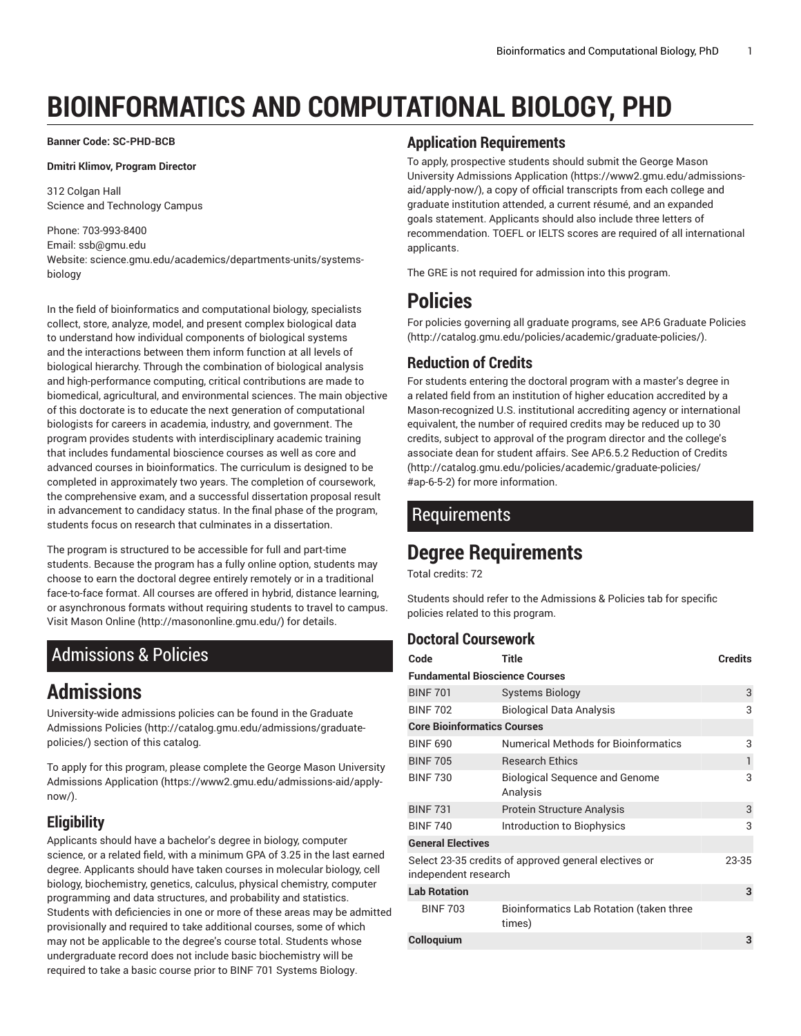# **BIOINFORMATICS AND COMPUTATIONAL BIOLOGY, PHD**

**Banner Code: SC-PHD-BCB**

#### **Dmitri Klimov, Program Director**

312 Colgan Hall Science and Technology Campus

#### Phone: 703-993-8400 Email: [ssb@gmu.edu](mailto:ssb@gmu.edu) Website: science.gmu.edu/academics/departments-units/systemsbiology

In the field of bioinformatics and computational biology, specialists collect, store, analyze, model, and present complex biological data to understand how individual components of biological systems and the interactions between them inform function at all levels of biological hierarchy. Through the combination of biological analysis and high-performance computing, critical contributions are made to biomedical, agricultural, and environmental sciences. The main objective of this doctorate is to educate the next generation of computational biologists for careers in academia, industry, and government. The program provides students with interdisciplinary academic training that includes fundamental bioscience courses as well as core and advanced courses in bioinformatics. The curriculum is designed to be completed in approximately two years. The completion of coursework, the comprehensive exam, and a successful dissertation proposal result in advancement to candidacy status. In the final phase of the program, students focus on research that culminates in a dissertation.

The program is structured to be accessible for full and part-time students. Because the program has a fully online option, students may choose to earn the doctoral degree entirely remotely or in a traditional face-to-face format. All courses are offered in hybrid, distance learning, or asynchronous formats without requiring students to travel to campus. Visit [Mason Online](http://masononline.gmu.edu/) [\(http://masononline.gmu.edu/\)](http://masononline.gmu.edu/) for details.

## <span id="page-0-0"></span>Admissions & Policies

## **Admissions**

University-wide admissions policies can be found in the [Graduate](http://catalog.gmu.edu/admissions/graduate-policies/) [Admissions](http://catalog.gmu.edu/admissions/graduate-policies/) Policies [\(http://catalog.gmu.edu/admissions/graduate](http://catalog.gmu.edu/admissions/graduate-policies/)[policies/](http://catalog.gmu.edu/admissions/graduate-policies/)) section of this catalog.

To apply for this program, please complete the George Mason [University](https://www2.gmu.edu/admissions-aid/apply-now/) [Admissions Application](https://www2.gmu.edu/admissions-aid/apply-now/) ([https://www2.gmu.edu/admissions-aid/apply](https://www2.gmu.edu/admissions-aid/apply-now/)[now/](https://www2.gmu.edu/admissions-aid/apply-now/)).

## **Eligibility**

Applicants should have a bachelor's degree in biology, computer science, or a related field, with a minimum GPA of 3.25 in the last earned degree. Applicants should have taken courses in molecular biology, cell biology, biochemistry, genetics, calculus, physical chemistry, computer programming and data structures, and probability and statistics. Students with deficiencies in one or more of these areas may be admitted provisionally and required to take additional courses, some of which may not be applicable to the degree's course total. Students whose undergraduate record does not include basic biochemistry will be required to take a basic course prior to BINF 701 Systems Biology.

#### **Application Requirements**

To apply, prospective students should submit the [George](https://www2.gmu.edu/admissions-aid/apply-now/) Mason University [Admissions](https://www2.gmu.edu/admissions-aid/apply-now/) Application ([https://www2.gmu.edu/admissions](https://www2.gmu.edu/admissions-aid/apply-now/)[aid/apply-now/\)](https://www2.gmu.edu/admissions-aid/apply-now/), a copy of official transcripts from each college and graduate institution attended, a current résumé, and an expanded goals statement. Applicants should also include three letters of recommendation. TOEFL or IELTS scores are required of all international applicants.

The GRE is not required for admission into this program.

## **Policies**

For policies governing all graduate programs, see AP.6 [Graduate](http://catalog.gmu.edu/policies/academic/graduate-policies/) Policies [\(http://catalog.gmu.edu/policies/academic/graduate-policies/\)](http://catalog.gmu.edu/policies/academic/graduate-policies/).

#### **Reduction of Credits**

For students entering the doctoral program with a master's degree in a related field from an institution of higher education accredited by a Mason-recognized U.S. institutional accrediting agency or international equivalent, the number of required credits may be reduced up to 30 credits, subject to approval of the program director and the college's associate dean for student affairs. See AP.6.5.2 [Reduction](http://catalog.gmu.edu/policies/academic/graduate-policies/#ap-6-5-2) of Credits [\(http://catalog.gmu.edu/policies/academic/graduate-policies/](http://catalog.gmu.edu/policies/academic/graduate-policies/#ap-6-5-2) [#ap-6-5-2](http://catalog.gmu.edu/policies/academic/graduate-policies/#ap-6-5-2)) for more information.

## **Requirements**

# **Degree Requirements**

Total credits: 72

Students should refer to the [Admissions](#page-0-0) & Policies tab for specific policies related to this program.

#### **Doctoral Coursework**

| Code                                                                          | <b>Title</b>                                       | <b>Credits</b> |  |  |
|-------------------------------------------------------------------------------|----------------------------------------------------|----------------|--|--|
| <b>Fundamental Bioscience Courses</b>                                         |                                                    |                |  |  |
| <b>BINF 701</b>                                                               | <b>Systems Biology</b>                             | 3              |  |  |
| <b>BINF 702</b>                                                               | <b>Biological Data Analysis</b>                    | 3              |  |  |
| <b>Core Bioinformatics Courses</b>                                            |                                                    |                |  |  |
| <b>BINF 690</b>                                                               | <b>Numerical Methods for Bioinformatics</b>        | 3              |  |  |
| <b>BINF 705</b>                                                               | <b>Research Ethics</b>                             | 1              |  |  |
| <b>BINF 730</b>                                                               | <b>Biological Sequence and Genome</b><br>Analysis  | 3              |  |  |
| <b>BINF 731</b>                                                               | <b>Protein Structure Analysis</b>                  | 3              |  |  |
| <b>BINF 740</b>                                                               | Introduction to Biophysics                         | 3              |  |  |
| <b>General Electives</b>                                                      |                                                    |                |  |  |
| Select 23-35 credits of approved general electives or<br>independent research |                                                    |                |  |  |
| <b>Lab Rotation</b>                                                           |                                                    | 3              |  |  |
| <b>BINF 703</b>                                                               | Bioinformatics Lab Rotation (taken three<br>times) |                |  |  |
| Colloquium                                                                    |                                                    | 3              |  |  |